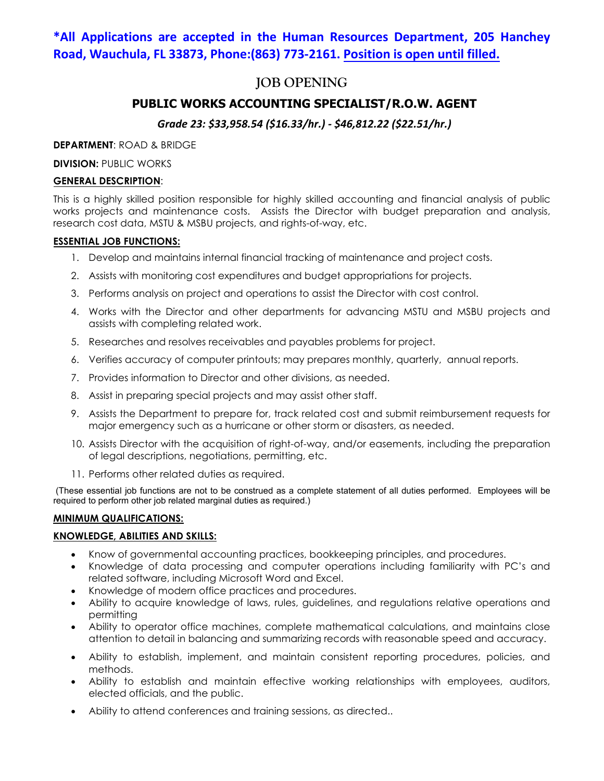# **\*All Applications are accepted in the Human Resources Department, 205 Hanchey Road, Wauchula, FL 33873, Phone:(863) 773-2161. Position is open until filled.**

# **JOB OPENING**

## **PUBLIC WORKS ACCOUNTING SPECIALIST/R.O.W. AGENT**

## *Grade 23: \$33,958.54 (\$16.33/hr.) - \$46,812.22 (\$22.51/hr.)*

**DEPARTMENT**: ROAD & BRIDGE

**DIVISION: PUBLIC WORKS** 

## **GENERAL DESCRIPTION**:

This is a highly skilled position responsible for highly skilled accounting and financial analysis of public works projects and maintenance costs. Assists the Director with budget preparation and analysis, research cost data, MSTU & MSBU projects, and rights-of-way, etc.

## **ESSENTIAL JOB FUNCTIONS:**

- 1. Develop and maintains internal financial tracking of maintenance and project costs.
- 2. Assists with monitoring cost expenditures and budget appropriations for projects.
- 3. Performs analysis on project and operations to assist the Director with cost control.
- 4. Works with the Director and other departments for advancing MSTU and MSBU projects and assists with completing related work.
- 5. Researches and resolves receivables and payables problems for project.
- 6. Verifies accuracy of computer printouts; may prepares monthly, quarterly, annual reports.
- 7. Provides information to Director and other divisions, as needed.
- 8. Assist in preparing special projects and may assist other staff.
- 9. Assists the Department to prepare for, track related cost and submit reimbursement requests for major emergency such as a hurricane or other storm or disasters, as needed.
- 10. Assists Director with the acquisition of right-of-way, and/or easements, including the preparation of legal descriptions, negotiations, permitting, etc.
- 11. Performs other related duties as required.

(These essential job functions are not to be construed as a complete statement of all duties performed. Employees will be required to perform other job related marginal duties as required.)

## **MINIMUM QUALIFICATIONS:**

## **KNOWLEDGE, ABILITIES AND SKILLS:**

- Know of governmental accounting practices, bookkeeping principles, and procedures.
- Knowledge of data processing and computer operations including familiarity with PC's and related software, including Microsoft Word and Excel.
- Knowledge of modern office practices and procedures.
- Ability to acquire knowledge of laws, rules, guidelines, and regulations relative operations and permitting
- Ability to operator office machines, complete mathematical calculations, and maintains close attention to detail in balancing and summarizing records with reasonable speed and accuracy.
- Ability to establish, implement, and maintain consistent reporting procedures, policies, and methods.
- Ability to establish and maintain effective working relationships with employees, auditors, elected officials, and the public.
- Ability to attend conferences and training sessions, as directed..